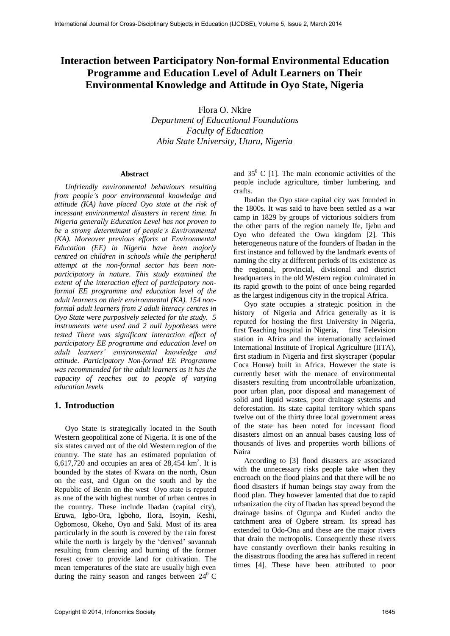# **Interaction between Participatory Non-formal Environmental Education Programme and Education Level of Adult Learners on Their Environmental Knowledge and Attitude in Oyo State, Nigeria**

Flora O. Nkire

*Department of Educational Foundations Faculty of Education Abia State University, Uturu, Nigeria* 

#### **Abstract**

*Unfriendly environmental behaviours resulting from people's poor environmental knowledge and attitude (KA) have placed Oyo state at the risk of incessant environmental disasters in recent time. In Nigeria generally Education Level has not proven to be a strong determinant of people's Environmental (KA). Moreover previous efforts at Environmental Education (EE) in Nigeria have been majorly centred on children in schools while the peripheral attempt at the non-formal sector has been nonparticipatory in nature. This study examined the extent of the interaction effect of participatory nonformal EE programme and education level of the adult learners on their environmental (KA). 154 nonformal adult learners from 2 adult literacy centres in Oyo State were purposively selected for the study. 5 instruments were used and 2 null hypotheses were tested There was significant interaction effect of participatory EE programme and education level on adult learners' environmental knowledge and attitude. Participatory Non-formal EE Programme was recommended for the adult learners as it has the capacity of reaches out to people of varying education levels* 

#### **1. Introduction**

Oyo State is strategically located in the South Western geopolitical zone of Nigeria. It is one of the six states carved out of the old Western region of the country. The state has an estimated population of  $6,617,720$  and occupies an area of  $28,454$  km<sup>2</sup>. It is bounded by the states of [Kwara](http://www.britannica.com/EBchecked/topic/325850/Kwara) on the north, Osun on the east, and [Ogun](http://www.britannica.com/EBchecked/topic/425899/Ogun) on the south and by the Republic of [Benin](http://www.britannica.com/EBchecked/topic/60879/Benin) on the west Oyo state is reputed as one of the with highest number of urban centres in the country. These include Ibadan (capital city), Eruwa, Igbo-Ora, Igboho, Ilora, Isoyin, Keshi, Ogbomoso, Okeho, Oyo and Saki. Most of its area particularly in the south is covered by the rain forest while the north is largely by the 'derived' savannah resulting from clearing and burning of the former forest cover to provide land for cultivation. The mean temperatures of the state are usually high even during the rainy season and ranges between  $24^{\circ}$  C

and  $35^{\circ}$  C [1]. The main economic activities of the people include agriculture, timber lumbering, and crafts.

Ibadan the Oyo state capital city was founded in the 1800s. It was said to have been settled as a war camp in 1829 by groups of victorious soldiers from the other parts of the region namely Ife, Ijebu and Oyo who defeated the Owu kingdom [2]. This heterogeneous nature of the founders of Ibadan in the first instance and followed by the landmark events of naming the city at different periods of its existence as the regional, provincial, divisional and district headquarters in the old Western region culminated in its rapid growth to the point of once being regarded as the largest indigenous city in the tropical Africa.

Oyo state occupies a strategic position in the history of Nigeria and Africa generally as it is reputed for hosting the first University in Nigeria, first Teaching hospital in Nigeria, first Television station in Africa and the internationally acclaimed International Institute of Tropical Agriculture (IITA), first stadium in Nigeria and first skyscraper (popular Coca House) built in Africa. However the state is currently beset with the menace of environmental disasters resulting from uncontrollable urbanization, poor urban plan, poor disposal and management of solid and liquid wastes, poor drainage systems and deforestation. Its state capital territory which spans twelve out of the thirty three local government areas of the state has been noted for incessant flood disasters almost on an annual bases causing loss of thousands of lives and properties worth billions of Naira

According to [3] flood disasters are associated with the unnecessary risks people take when they encroach on the flood plains and that there will be no flood disasters if human beings stay away from the flood plan. They however lamented that due to rapid urbanization the city of Ibadan has spread beyond the drainage basins of Ogunpa and Kudeti andto the catchment area of Ogbere stream. Its spread has extended to Odo-Ona and these are the major rivers that drain the metropolis. Consequently these rivers have constantly overflown their banks resulting in the disastrous flooding the area has suffered in recent times [4]. These have been attributed to poor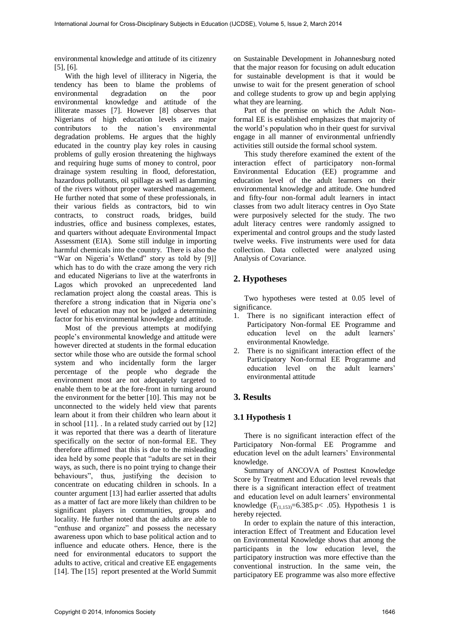environmental knowledge and attitude of its citizenry [5], [6].

With the high level of illiteracy in Nigeria, the tendency has been to blame the problems of environmental degradation on the poor environmental knowledge and attitude of the illiterate masses [7]. However [8] observes that Nigerians of high education levels are major contributors to the nation's environmental degradation problems. He argues that the highly educated in the country play key roles in causing problems of gully erosion threatening the highways and requiring huge sums of money to control, poor drainage system resulting in flood, deforestation, hazardous pollutants, oil spillage as well as damming of the rivers without proper watershed management. He further noted that some of these professionals, in their various fields as contractors, bid to win contracts, to construct roads, bridges, build industries, office and business complexes, estates, and quarters without adequate Environmental Impact Assessment (EIA). Some still indulge in importing harmful chemicals into the country. There is also the "War on Nigeria's Wetland" story as told by [9]] which has to do with the craze among the very rich and educated Nigerians to live at the waterfronts in Lagos which provoked an unprecedented land reclamation project along the coastal areas. This is therefore a strong indication that in Nigeria one's level of education may not be judged a determining factor for his environmental knowledge and attitude.

Most of the previous attempts at modifying people's environmental knowledge and attitude were however directed at students in the formal education sector while those who are outside the formal school system and who incidentally form the larger percentage of the people who degrade the environment most are not adequately targeted to enable them to be at the fore-front in turning around the environment for the better [10]. This may not be unconnected to the widely held view that parents learn about it from their children who learn about it in school [11]. . In a related study carried out by [12] it was reported that there was a dearth of literature specifically on the sector of non-formal EE. They therefore affirmed that this is due to the misleading idea held by some people that "adults are set in their ways, as such, there is no point trying to change their behaviours", thus, justifying the decision to concentrate on educating children in schools. In a counter argument [13] had earlier asserted that adults as a matter of fact are more likely than children to be significant players in communities, groups and locality. He further noted that the adults are able to "enthuse and organize" and possess the necessary awareness upon which to base political action and to influence and educate others. Hence, there is the need for environmental educators to support the adults to active, critical and creative EE engagements [14]. The [15] report presented at the World Summit

on Sustainable Development in Johannesburg noted that the major reason for focusing on adult education for sustainable development is that it would be unwise to wait for the present generation of school and college students to grow up and begin applying what they are learning.

Part of the premise on which the Adult Nonformal EE is established emphasizes that majority of the world's population who in their quest for survival engage in all manner of environmental unfriendly activities still outside the formal school system.

This study therefore examined the extent of the interaction effect of participatory non-formal Environmental Education (EE) programme and education level of the adult learners on their environmental knowledge and attitude. One hundred and fifty-four non-formal adult learners in intact classes from two adult literacy centres in Oyo State were purposively selected for the study. The two adult literacy centres were randomly assigned to experimental and control groups and the study lasted twelve weeks. Five instruments were used for data collection. Data collected were analyzed using Analysis of Covariance.

## **2. Hypotheses**

Two hypotheses were tested at 0.05 level of significance.

- 1. There is no significant interaction effect of Participatory Non-formal EE Programme and education level on the adult learners' environmental Knowledge.
- 2. There is no significant interaction effect of the Participatory Non-formal EE Programme and education level on the adult learners' environmental attitude

## **3. Results**

#### **3.1 Hypothesis 1**

There is no significant interaction effect of the Participatory Non-formal EE Programme and education level on the adult learners' Environmental knowledge.

Summary of ANCOVA of Posttest Knowledge Score by Treatment and Education level reveals that there is a significant interaction effect of treatment and education level on adult learners' environmental knowledge  $(F_{(1,153)}=6.385.p< .05)$ . Hypothesis 1 is hereby rejected.

In order to explain the nature of this interaction, interaction Effect of Treatment and Education level on Environmental Knowledge shows that among the participants in the low education level, the participatory instruction was more effective than the conventional instruction. In the same vein, the participatory EE programme was also more effective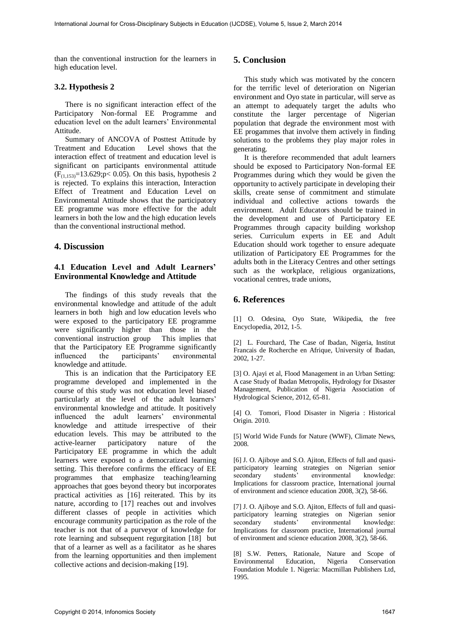than the conventional instruction for the learners in high education level.

#### **3.2. Hypothesis 2**

There is no significant interaction effect of the Participatory Non-formal EE Programme and education level on the adult learners' Environmental Attitude.

Summary of ANCOVA of Posttest Attitude by Treatment and Education Level shows that the interaction effect of treatment and education level is significant on participants environmental attitude  $(F_{(1,153)}=13.629; p< 0.05)$ . On this basis, hypothesis 2 is rejected. To explains this interaction, Interaction Effect of Treatment and Education Level on Environmental Attitude shows that the participatory EE programme was more effective for the adult learners in both the low and the high education levels than the conventional instructional method.

## **4. Discussion**

#### **4.1 Education Level and Adult Learners' Environmental Knowledge and Attitude**

The findings of this study reveals that the environmental knowledge and attitude of the adult learners in both high and low education levels who were exposed to the participatory EE programme were significantly higher than those in the conventional instruction group This implies that that the Participatory EE Programme significantly influenced the participants' environmental knowledge and attitude.

This is an indication that the Participatory EE programme developed and implemented in the course of this study was not education level biased particularly at the level of the adult learners' environmental knowledge and attitude. It positively influenced the adult learners' environmental knowledge and attitude irrespective of their education levels. This may be attributed to the active-learner participatory nature of the Participatory EE programme in which the adult learners were exposed to a democratized learning setting. This therefore confirms the efficacy of EE programmes that emphasize teaching/learning approaches that goes beyond theory but incorporates practical activities as [16] reiterated. This by its nature, according to [17] reaches out and involves different classes of people in activities which encourage community participation as the role of the teacher is not that of a purveyor of knowledge for rote learning and subsequent regurgitation [18] but that of a learner as well as a facilitator as he shares from the learning opportunities and then implement collective actions and decision-making [19].

## **5. Conclusion**

This study which was motivated by the concern for the terrific level of deterioration on Nigerian environment and Oyo state in particular, will serve as an attempt to adequately target the adults who constitute the larger percentage of Nigerian population that degrade the environment most with EE progammes that involve them actively in finding solutions to the problems they play major roles in generating.

It is therefore recommended that adult learners should be exposed to Participatory Non-formal EE Programmes during which they would be given the opportunity to actively participate in developing their skills, create sense of commitment and stimulate individual and collective actions towards the environment. Adult Educators should be trained in the development and use of Participatory EE Programmes through capacity building workshop series. Curriculum experts in EE and Adult Education should work together to ensure adequate utilization of Participatory EE Programmes for the adults both in the Literacy Centres and other settings such as the workplace, religious organizations, vocational centres, trade unions,

## **6. References**

[1] O. Odesina, Oyo State, Wikipedia, the free Encyclopedia, 2012, 1-5.

[2] L. Fourchard, The Case of Ibadan, Nigeria, Institut Francais de Rocherche en Afrique, University of Ibadan, 2002, 1-27.

[3] O. Ajayi et al, Flood Management in an Urban Setting: A case Study of Ibadan Metropolis, Hydrology for Disaster Management, Publication of Nigeria Association of Hydrological Science, 2012, 65-81.

[4] O. Tomori, Flood Disaster in Nigeria : Historical Origin. 2010.

[5] World Wide Funds for Nature (WWF), Climate News, 2008.

[6] J. O. Ajiboye and S.O. Ajiton, Effects of full and quasiparticipatory learning strategies on Nigerian senior environmental Implications for classroom practice, International journal of environment and science education 2008, 3(2), 58-66.

[7] J. O. Ajiboye and S.O. Ajiton, Effects of full and quasiparticipatory learning strategies on Nigerian senior secondary students' environmental knowledge: Implications for classroom practice, International journal of environment and science education 2008, 3(2), 58-66.

[8] S.W. Petters, Rationale, Nature and Scope of Environmental Education, Nigeria Conservation Foundation Module 1. Nigeria: Macmillan Publishers Ltd, 1995.